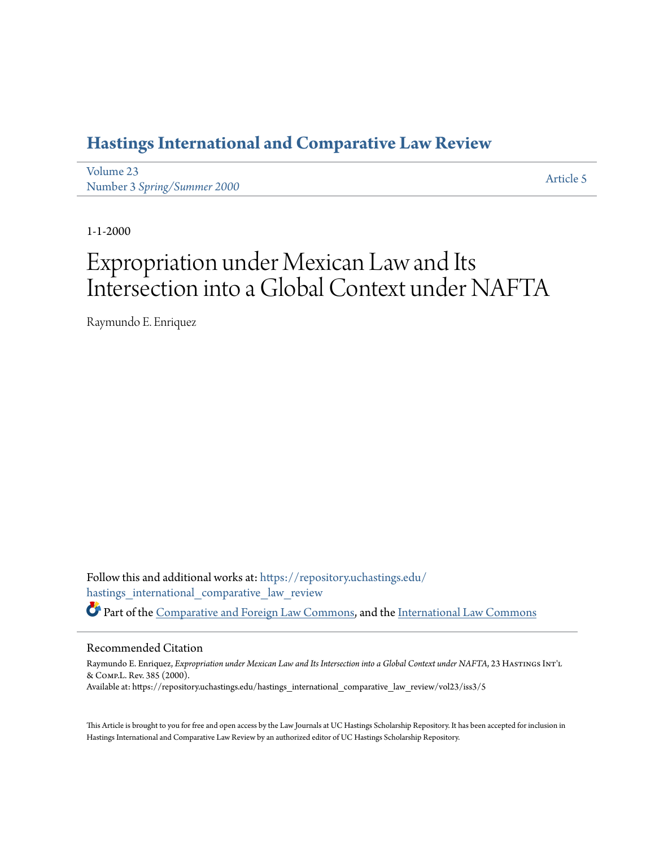## **[Hastings International and Comparative Law Review](https://repository.uchastings.edu/hastings_international_comparative_law_review?utm_source=repository.uchastings.edu%2Fhastings_international_comparative_law_review%2Fvol23%2Fiss3%2F5&utm_medium=PDF&utm_campaign=PDFCoverPages)**

[Volume 23](https://repository.uchastings.edu/hastings_international_comparative_law_review/vol23?utm_source=repository.uchastings.edu%2Fhastings_international_comparative_law_review%2Fvol23%2Fiss3%2F5&utm_medium=PDF&utm_campaign=PDFCoverPages) volume 25 *[Article 5](https://repository.uchastings.edu/hastings_international_comparative_law_review/vol23/iss3/5?utm_source=repository.uchastings.edu%2Fhastings_international_comparative_law_review%2Fvol23%2Fiss3%2F5&utm_medium=PDF&utm_campaign=PDFCoverPages)* Article 5 *Article 5* Article 5 **Article 5** 

1-1-2000

# Expropriation under Mexican Law and Its Intersection into a Global Context under NAFTA

Raymundo E. Enriquez

Follow this and additional works at: [https://repository.uchastings.edu/](https://repository.uchastings.edu/hastings_international_comparative_law_review?utm_source=repository.uchastings.edu%2Fhastings_international_comparative_law_review%2Fvol23%2Fiss3%2F5&utm_medium=PDF&utm_campaign=PDFCoverPages) [hastings\\_international\\_comparative\\_law\\_review](https://repository.uchastings.edu/hastings_international_comparative_law_review?utm_source=repository.uchastings.edu%2Fhastings_international_comparative_law_review%2Fvol23%2Fiss3%2F5&utm_medium=PDF&utm_campaign=PDFCoverPages) Part of the [Comparative and Foreign Law Commons](http://network.bepress.com/hgg/discipline/836?utm_source=repository.uchastings.edu%2Fhastings_international_comparative_law_review%2Fvol23%2Fiss3%2F5&utm_medium=PDF&utm_campaign=PDFCoverPages), and the [International Law Commons](http://network.bepress.com/hgg/discipline/609?utm_source=repository.uchastings.edu%2Fhastings_international_comparative_law_review%2Fvol23%2Fiss3%2F5&utm_medium=PDF&utm_campaign=PDFCoverPages)

#### Recommended Citation

Raymundo E. Enriquez, *Expropriation under Mexican Law and Its Intersection into a Global Context under NAFTA*, 23 HastingsInt'l & Comp.L. Rev. 385 (2000). Available at: https://repository.uchastings.edu/hastings\_international\_comparative\_law\_review/vol23/iss3/5

This Article is brought to you for free and open access by the Law Journals at UC Hastings Scholarship Repository. It has been accepted for inclusion in Hastings International and Comparative Law Review by an authorized editor of UC Hastings Scholarship Repository.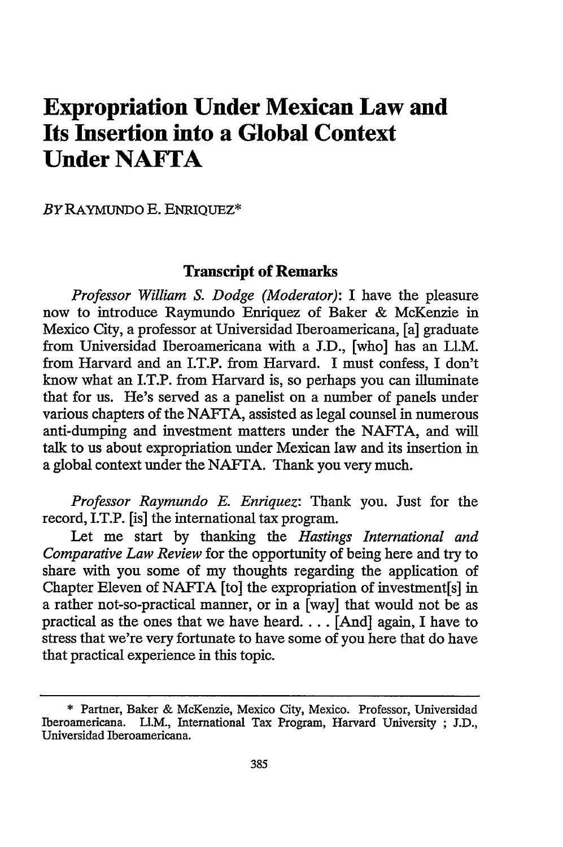## **Expropriation Under Mexican Law and Its Insertion into a Global Context Under NAFTA**

*BYRAYMUNDO* E. ENRIQUEZ\*

### **Transcript of Remarks**

*Professor William S. Dodge (Moderator):* I have the pleasure now to introduce Raymundo Enriquez of Baker & McKenzie in Mexico City, a professor at Universidad Iberoamericana, [a] graduate from Universidad Iberoamericana with a J.D., [who] has an Ll.M. from Harvard and an I.T.P. from Harvard. I must confess, I don't know what an I.T.P. from Harvard is, so perhaps you can illuminate that for us. He's served as a panelist on a number of panels under various chapters of the NAFTA, assisted as legal counsel in numerous anti-dumping and investment matters under the NAFrA, and will talk to us about expropriation under Mexican law and its insertion in a global context under the NAFrA. Thank you very much.

*Professor Raymundo E. Enriquez:* Thank you. Just for the record, I.T.P. [is] the international tax program.

Let me start by thanking the *Hastings International and Comparative Law Review* for the opportunity of being here and try to share with you some of my thoughts regarding the application of Chapter Eleven of NAFTA [to] the expropriation of investment[s] in a rather not-so-practical manner, or in a [way] that would not be as practical as the ones that we have heard.... [And] again, I have to stress that we're very fortunate to have some of you here that do have that practical experience in this topic.

<sup>\*</sup> Partner, Baker & McKenzie, Mexico City, Mexico. Professor, Universidad Iberoamericana. LI.M., International Tax Program, Harvard University ; J.D., Universidad Iberoamericana.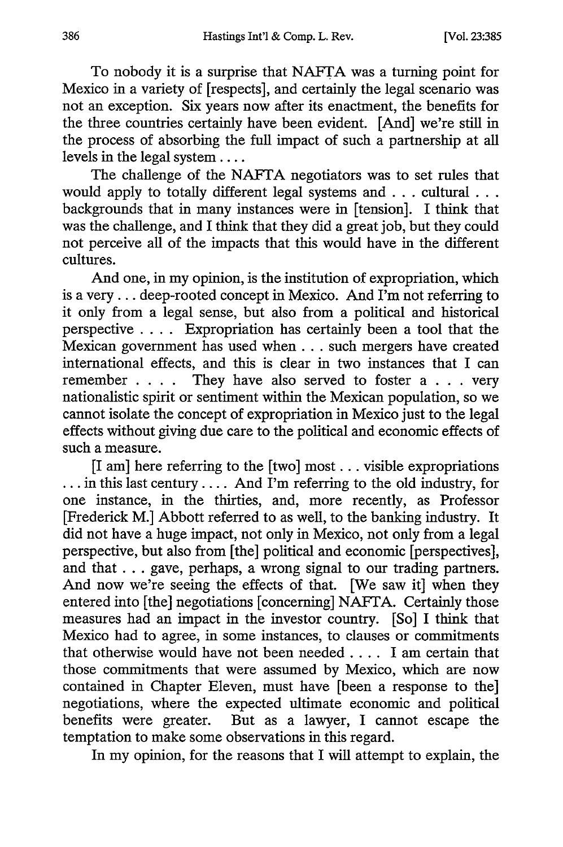To nobody it is a surprise that NAFTA was a turning point for Mexico in a variety of [respects], and certainly the legal scenario was not an exception. Six years now after its enactment, the benefits for the three countries certainly have been evident. [And] we're still in the process of absorbing the full impact of such a partnership at all levels in the legal system **....**

The challenge of the NAFTA negotiators was to set rules that would apply to totally different legal systems and **...** cultural **...** backgrounds that in many instances were in [tension]. I think that was the challenge, and I think that they did a great job, but they could not perceive all of the impacts that this would have in the different cultures.

And one, in my opinion, is the institution of expropriation, which is a very... deep-rooted concept in Mexico. And I'm not referring to it only from a legal sense, but also from a political and historical perspective .... Expropriation has certainly been a tool that the Mexican government has used when **...** such mergers have created international effects, and this is clear in two instances that I can remember . **. .** . They have also served to foster a . . . very nationalistic spirit or sentiment within the Mexican population, so we cannot isolate the concept of expropriation in Mexico just to the legal effects without giving due care to the political and economic effects of such a measure.

[I am] here referring to the [two] most.., visible expropriations ... in this last century .... And I'm referring to the old industry, for one instance, in the thirties, and, more recently, as Professor [Frederick M.] Abbott referred to as well, to the banking industry. It did not have a huge impact, not only in Mexico, not only from a legal perspective, but also from [the] political and economic [perspectives], and that  $\dots$  gave, perhaps, a wrong signal to our trading partners. And now we're seeing the effects of that. [We saw it] when they entered into [the] negotiations [concerning] NAFTA. Certainly those measures had an impact in the investor country. [So] I think that Mexico had to agree, in some instances, to clauses or commitments that otherwise would have not been needed .... I am certain that those commitments that were assumed by Mexico, which are now contained in Chapter Eleven, must have [been a response to the] negotiations, where the expected ultimate economic and political benefits were greater. But as a lawyer, I cannot escape the temptation to make some observations in this regard.

In my opinion, for the reasons that I will attempt to explain, the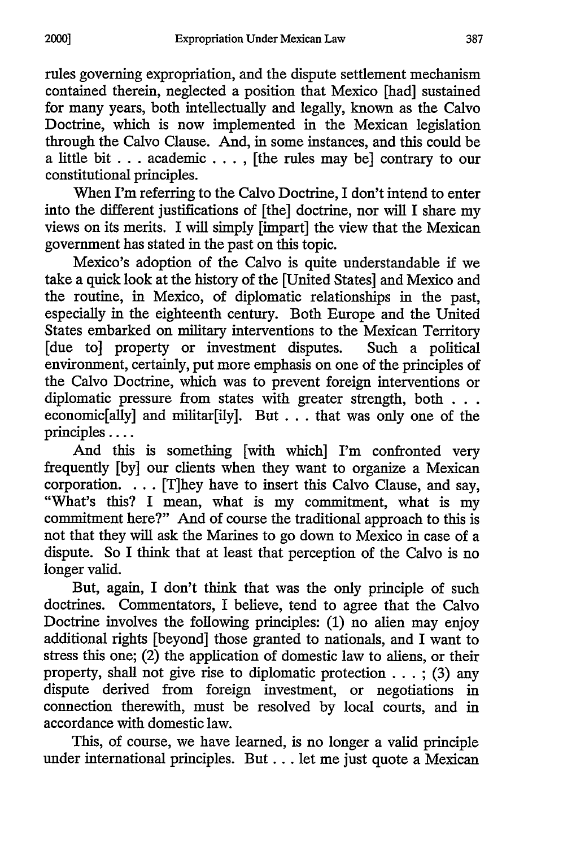rules governing expropriation, and the dispute settlement mechanism contained therein, neglected a position that Mexico [had] sustained for many years, both intellectually and legally, known as the Calvo Doctrine, which is now implemented in the Mexican legislation through the Calvo Clause. And, in some instances, and this could be a little bit **...** academic... , [the rules may be] contrary to our constitutional principles.

When I'm referring to the Calvo Doctrine, I don't intend to enter into the different justifications of [the] doctrine, nor will I share my views on its merits. I will simply [impart] the view that the Mexican government has stated in the past on this topic.

Mexico's adoption of the Calvo is quite understandable if we take a quick look at the history of the [United States] and Mexico and the routine, in Mexico, of diplomatic relationships in the past, especially in the eighteenth century. Both Europe and the United States embarked on military interventions to the Mexican Territory [due to] property or investment disputes. Such a political environment, certainly, put more emphasis on one of the principles of the Calvo Doctrine, which was to prevent foreign interventions or diplomatic pressure from states with greater strength, both **. . .** economic[ally] and militar[ily]. But ... that was only one of the principles ....

And this is something [with which] I'm confronted very frequently [by] our clients when they want to organize a Mexican corporation. ... [T]hey have to insert this Calvo Clause, and say, "What's this? I mean, what is my commitment, what is my commitment here?" And of course the traditional approach to this is not that they will ask the Marines to go down to Mexico in case of a dispute. So I think that at least that perception of the Calvo is no longer valid.

But, again, I don't think that was the only principle of such doctrines. Commentators, I believe, tend to agree that the Calvo Doctrine involves the following principles: (1) no alien may enjoy additional rights [beyond] those granted to nationals, and I want to stress this one; (2) the application of domestic law to aliens, or their property, shall not give rise to diplomatic protection  $\ldots$ ; (3) any dispute derived from foreign investment, or negotiations in connection therewith, must be resolved by local courts, and in accordance with domestic law.

This, of course, we have learned, is no longer a valid principle under international principles. But... let me just quote a Mexican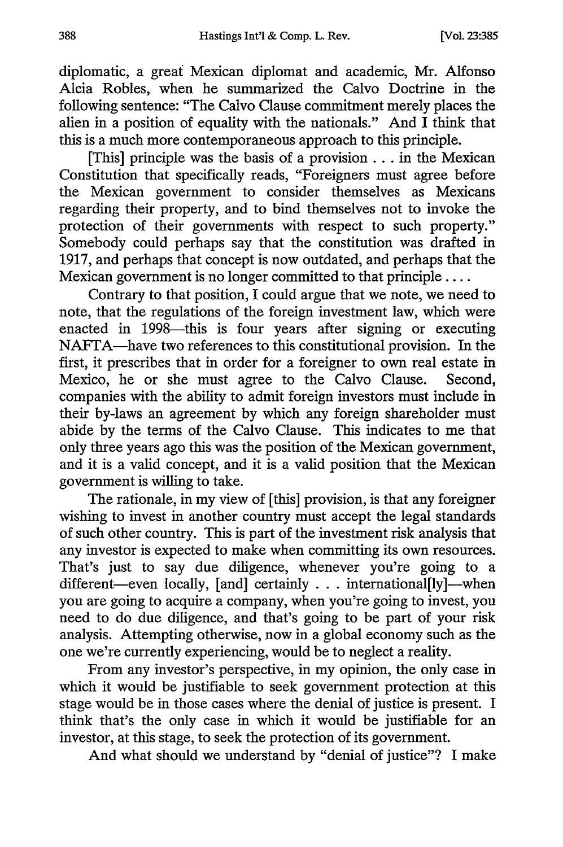diplomatic, a great Mexican diplomat and academic, Mr. Alfonso Alcia Robles, when he summarized the Calvo Doctrine in the following sentence: "The Calvo Clause commitment merely places the alien in a position of equality with the nationals." And I think that this is a much more contemporaneous approach to this principle.

[This] principle was the basis of a provision **...** in the Mexican Constitution that specifically reads, "Foreigners must agree before the Mexican government to consider themselves as Mexicans regarding their property, and to bind themselves not to invoke the protection of their governments with respect to such property." Somebody could perhaps say that the constitution was drafted in 1917, and perhaps that concept is now outdated, and perhaps that the Mexican government is no longer committed to that principle ....

Contrary to that position, I could argue that we note, we need to note, that the regulations of the foreign investment law, which were enacted in 1998—this is four years after signing or executing NAFTA-have two references to this constitutional provision. In the first, it prescribes that in order for a foreigner to own real estate in Mexico, he or she must agree to the Calvo Clause. Second, companies with the ability to admit foreign investors must include in their by-laws an agreement by which any foreign shareholder must abide by the terms of the Calvo Clause. This indicates to me that only three years ago this was the position of the Mexican government, and it is a valid concept, and it is a valid position that the Mexican government is willing to take.

The rationale, in my view of [this] provision, is that any foreigner wishing to invest in another country must accept the legal standards of such other country. This is part of the investment risk analysis that any investor is expected to make when committing its own resources. That's just to say due diligence, whenever you're going to a different-even locally, [and] certainly . . . international[ly]-when you are going to acquire a company, when you're going to invest, you need to do due diligence, and that's going to be part of your risk analysis. Attempting otherwise, now in a global economy such as the one we're currently experiencing, would be to neglect a reality.

From any investor's perspective, in my opinion, the only case in which it would be justifiable to seek government protection at this stage would be in those cases where the denial of justice is present. I think that's the only case in which it would be justifiable for an investor, at this stage, to seek the protection of its government.

And what should we understand by "denial of justice"? I make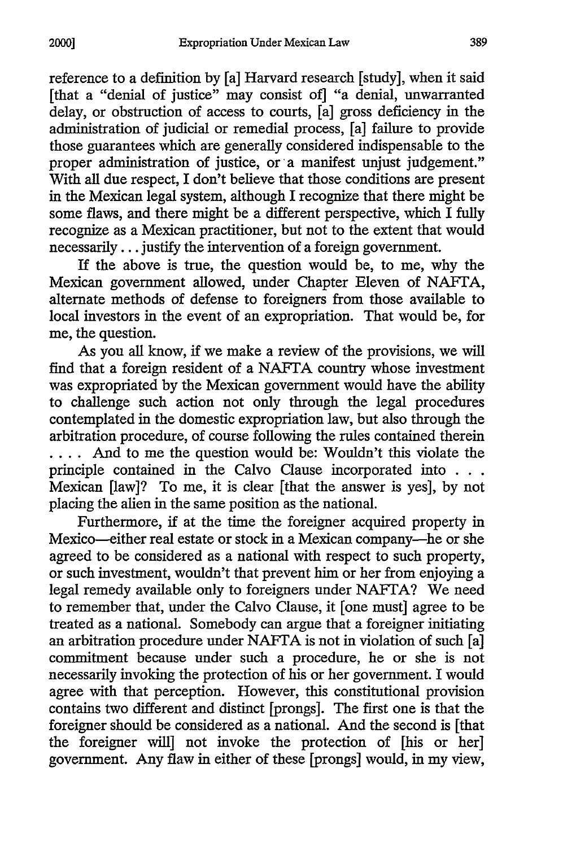reference to a definition by [a] Harvard research [study], when it said [that a "denial of justice" may consist of] "a denial, unwarranted delay, or obstruction of access to courts, [a] gross deficiency in the administration of judicial or remedial process, [a] failure to provide those guarantees which are generally considered indispensable to the proper administration of justice, or a manifest unjust judgement." With all due respect, I don't believe that those conditions are present in the Mexican legal system, although I recognize that there might be some flaws, and there might be a different perspective, which I fully recognize as a Mexican practitioner, but not to the extent that would necessarily... justify the intervention of a foreign government.

If the above is true, the question would be, to me, why the Mexican government allowed, under Chapter Eleven of NAFTA, alternate methods of defense to foreigners from those available to local investors in the event of an expropriation. That would be, for me, the question.

As you all know, if we make a review of the provisions, we will find that a foreign resident of a NAFTA country whose investment was expropriated by the Mexican government would have the ability to challenge such action not only through the legal procedures contemplated in the domestic expropriation law, but also through the arbitration procedure, of course following the rules contained therein .... And to me the question would be: Wouldn't this violate the principle contained in the Calvo Clause incorporated into **. .** Mexican [law]? To me, it is clear [that the answer is yes], by not placing the alien in the same position as the national.

Furthermore, if at the time the foreigner acquired property in Mexico-either real estate or stock in a Mexican company-he or she agreed to be considered as a national with respect to such property, or such investment, wouldn't that prevent him or her from enjoying a legal remedy available only to foreigners under NAFTA? We need to remember that, under the Calvo Clause, it [one must] agree to be treated as a national. Somebody can argue that a foreigner initiating an arbitration procedure under NAFTA is not in violation of such [a] commitment because under such a procedure, he or she is not necessarily invoking the protection of his or her government. I would agree with that perception. However, this constitutional provision contains two different and distinct [prongs]. The first one is that the foreigner should be considered as a national. And the second is [that the foreigner will] not invoke the protection of [his or her] government. Any flaw in either of these [prongs] would, in my view,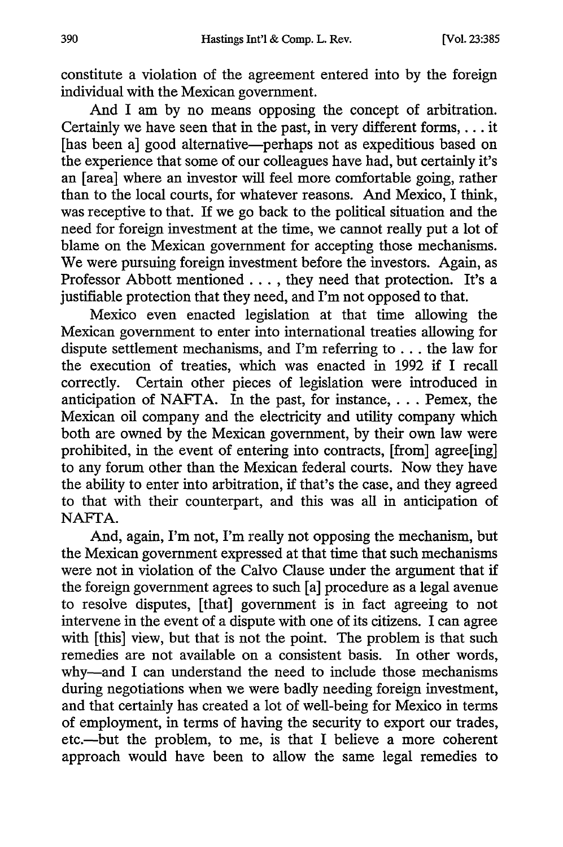constitute a violation of the agreement entered into by the foreign individual with the Mexican government.

And I am by no means opposing the concept of arbitration. Certainly we have seen that in the past, in very different forms,... it [has been a] good alternative-perhaps not as expeditious based on the experience that some of our colleagues have had, but certainly it's an [area] where an investor will feel more comfortable going, rather than to the local courts, for whatever reasons. And Mexico, I think, was receptive to that. If we go back to the political situation and the need for foreign investment at the time, we cannot really put a lot of blame on the Mexican government for accepting those mechanisms. We were pursuing foreign investment before the investors. Again, as Professor Abbott mentioned .... they need that protection. It's a justifiable protection that they need, and I'm not opposed to that.

Mexico even enacted legislation at that time allowing the Mexican government to enter into international treaties allowing for dispute settlement mechanisms, and I'm referring to ... the law for the execution of treaties, which was enacted in 1992 if I recall correctly. Certain other pieces of legislation were introduced in anticipation of NAFrA. In the past, for instance,... Pemex, the Mexican oil company and the electricity and utility company which both are owned by the Mexican government, by their own law were prohibited, in the event of entering into contracts, [from] agree[ing] to any forum other than the Mexican federal courts. Now they have the ability to enter into arbitration, if that's the case, and they agreed to that with their counterpart, and this was all in anticipation of NAFTA.

And, again, I'm not, I'm really not opposing the mechanism, but the Mexican government expressed at that time that such mechanisms were not in violation of the Calvo Clause under the argument that if the foreign government agrees to such [a] procedure as a legal avenue to resolve disputes, [that] government is in fact agreeing to not intervene in the event of a dispute with one of its citizens. I can agree with [this] view, but that is not the point. The problem is that such remedies are not available on a consistent basis. In other words, why-and I can understand the need to include those mechanisms during negotiations when we were badly needing foreign investment, and that certainly has created a lot of well-being for Mexico in terms of employment, in terms of having the security to export our trades, etc.-but the problem, to me, is that I believe a more coherent approach would have been to allow the same legal remedies to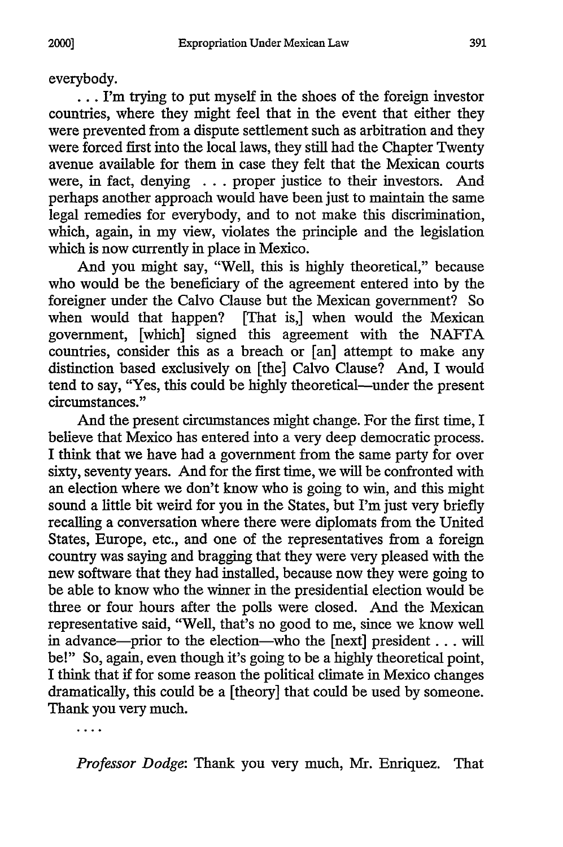everybody.

•.. I'm trying to put myself in the shoes of the foreign investor countries, where they might feel that in the event that either they were prevented from a dispute settlement such as arbitration and they were forced first into the local laws, they still had the Chapter Twenty avenue available for them in case they felt that the Mexican courts were, in fact, denying . **.** . proper justice to their investors. And perhaps another approach would have been just to maintain the same legal remedies for everybody, and to not make this discrimination, which, again, in my view, violates the principle and the legislation which is now currently in place in Mexico.

And you might say, "Well, this is highly theoretical," because who would be the beneficiary of the agreement entered into by the foreigner under the Calvo Clause but the Mexican government? So when would that happen? [That is,] when would the Mexican government, [which] signed this agreement with the NAFTA countries, consider this as a breach or [an] attempt to make any distinction based exclusively on [the] Calvo Clause? And, I would tend to say, "Yes, this could be highly theoretical-under the present circumstances."

And the present circumstances might change. For the first time, I believe that Mexico has entered into a very deep democratic process. I think that we have had a government from the same party for over sixty, seventy years. And for the first time, we will be confronted with an election where we don't know who is going to win, and this might sound a little bit weird for you in the States, but I'm just very briefly recalling a conversation where there were diplomats from the United States, Europe, etc., and one of the representatives from a foreign country was saying and bragging that they were very pleased with the new software that they had installed, because now they were going to be able to know who the winner in the presidential election would be three or four hours after the polls were closed. And the Mexican representative said, "Well, that's no good to me, since we know well in advance—prior to the election—who the [next] president . . . will be!" So, again, even though it's going to be a highly theoretical point, I think that if for some reason the political climate in Mexico changes dramatically, this could be a [theory] that could be used by someone. Thank you very much.

. . . .

*Professor Dodge:* Thank you very much, Mr. Enriquez. That